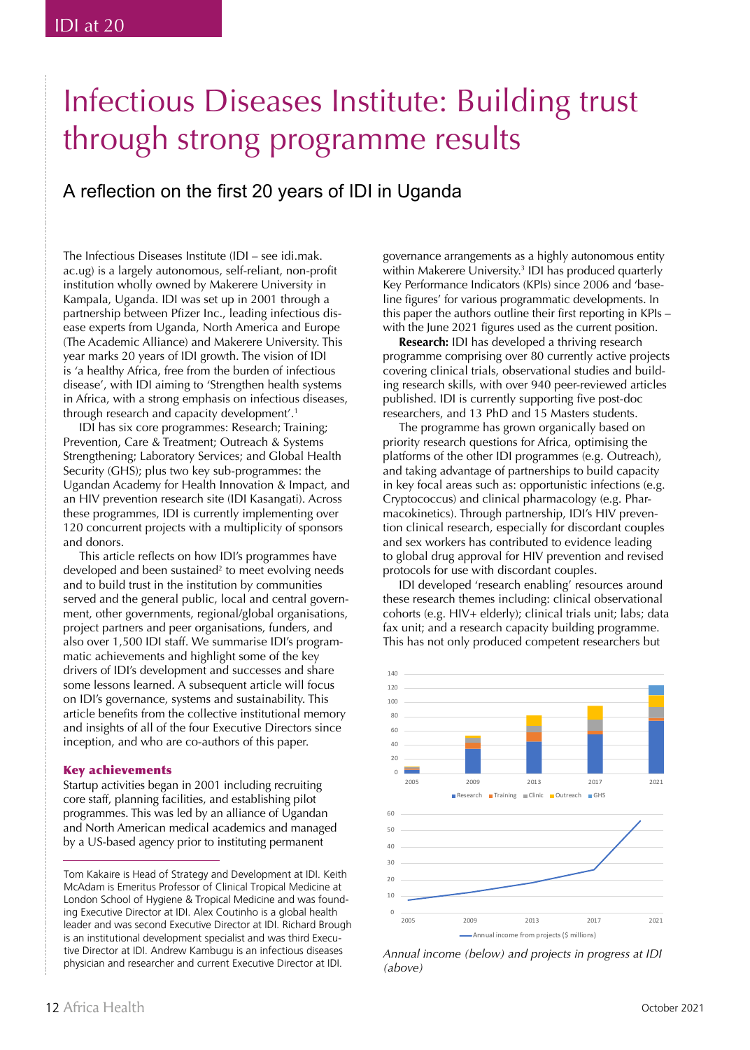# Infectious Diseases Institute: Building trust through strong programme results

# A reflection on the first 20 years of IDI in Uganda

The Infectious Diseases Institute (IDI – see idi.mak. ac.ug) is a largely autonomous, self-reliant, non-profit institution wholly owned by Makerere University in Kampala, Uganda. IDI was set up in 2001 through a partnership between Pfizer Inc., leading infectious disease experts from Uganda, North America and Europe (The Academic Alliance) and Makerere University. This year marks 20 years of IDI growth. The vision of IDI is 'a healthy Africa, free from the burden of infectious disease', with IDI aiming to 'Strengthen health systems in Africa, with a strong emphasis on infectious diseases, through research and capacity development'.1

IDI has six core programmes: Research; Training; Prevention, Care & Treatment; Outreach & Systems Strengthening; Laboratory Services; and Global Health Security (GHS); plus two key sub-programmes: the Ugandan Academy for Health Innovation & Impact, and an HIV prevention research site (IDI Kasangati). Across these programmes, IDI is currently implementing over 120 concurrent projects with a multiplicity of sponsors and donors.

This article reflects on how IDI's programmes have developed and been sustained<sup>2</sup> to meet evolving needs and to build trust in the institution by communities served and the general public, local and central government, other governments, regional/global organisations, project partners and peer organisations, funders, and also over 1,500 IDI staff. We summarise IDI's programmatic achievements and highlight some of the key drivers of IDI's development and successes and share some lessons learned. A subsequent article will focus on IDI's governance, systems and sustainability. This article benefits from the collective institutional memory and insights of all of the four Executive Directors since inception, and who are co-authors of this paper.

#### Key achievements

Startup activities began in 2001 including recruiting core staff, planning facilities, and establishing pilot programmes. This was led by an alliance of Ugandan and North American medical academics and managed by a US-based agency prior to instituting permanent

governance arrangements as a highly autonomous entity within Makerere University. <sup>3</sup> IDI has produced quarterly Key Performance Indicators (KPIs) since 2006 and 'baseline figures' for various programmatic developments. In this paper the authors outline their first reporting in KPIs  $$ with the June 2021 figures used as the current position.

**Research:** IDI has developed a thriving research programme comprising over 80 currently active projects covering clinical trials, observational studies and building research skills, with over 940 peer-reviewed articles published. IDI is currently supporting five post-doc researchers, and 13 PhD and 15 Masters students.

The programme has grown organically based on priority research questions for Africa, optimising the platforms of the other IDI programmes (e.g. Outreach), and taking advantage of partnerships to build capacity in key focal areas such as: opportunistic infections (e.g. Cryptococcus) and clinical pharmacology (e.g. Pharmacokinetics). Through partnership, IDI's HIV prevention clinical research, especially for discordant couples and sex workers has contributed to evidence leading to global drug approval for HIV prevention and revised protocols for use with discordant couples.

IDI developed 'research enabling' resources around these research themes including: clinical observational cohorts (e.g. HIV+ elderly); clinical trials unit; labs; data fax unit; and a research capacity building programme. This has not only produced competent researchers but



*Annual income (below) and projects in progress at IDI (above)*

Tom Kakaire is Head of Strategy and Development at IDI. Keith McAdam is Emeritus Professor of Clinical Tropical Medicine at London School of Hygiene & Tropical Medicine and was founding Executive Director at IDI. Alex Coutinho is a global health leader and was second Executive Director at IDI. Richard Brough is an institutional development specialist and was third Executive Director at IDI. Andrew Kambugu is an infectious diseases physician and researcher and current Executive Director at IDI.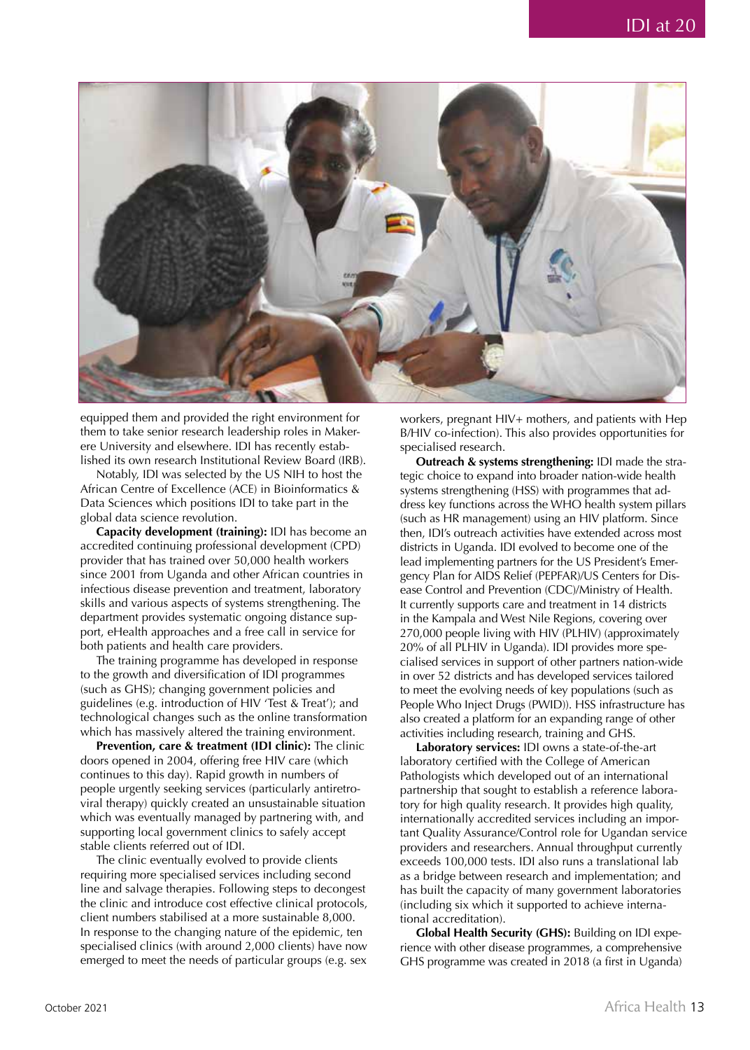

equipped them and provided the right environment for them to take senior research leadership roles in Makerere University and elsewhere. IDI has recently established its own research Institutional Review Board (IRB).

Notably, IDI was selected by the US NIH to host the African Centre of Excellence (ACE) in Bioinformatics & Data Sciences which positions IDI to take part in the global data science revolution.

**Capacity development (training):** IDI has become an accredited continuing professional development (CPD) provider that has trained over 50,000 health workers since 2001 from Uganda and other African countries in infectious disease prevention and treatment, laboratory skills and various aspects of systems strengthening. The department provides systematic ongoing distance support, eHealth approaches and a free call in service for both patients and health care providers.

The training programme has developed in response to the growth and diversification of IDI programmes (such as GHS); changing government policies and guidelines (e.g. introduction of HIV 'Test & Treat'); and technological changes such as the online transformation which has massively altered the training environment.

**Prevention, care & treatment (IDI clinic):** The clinic doors opened in 2004, offering free HIV care (which continues to this day). Rapid growth in numbers of people urgently seeking services (particularly antiretroviral therapy) quickly created an unsustainable situation which was eventually managed by partnering with, and supporting local government clinics to safely accept stable clients referred out of IDI.

The clinic eventually evolved to provide clients requiring more specialised services including second line and salvage therapies. Following steps to decongest the clinic and introduce cost effective clinical protocols, client numbers stabilised at a more sustainable 8,000. In response to the changing nature of the epidemic, ten specialised clinics (with around 2,000 clients) have now emerged to meet the needs of particular groups (e.g. sex

workers, pregnant HIV+ mothers, and patients with Hep B/HIV co-infection). This also provides opportunities for specialised research.

**Outreach & systems strengthening:** IDI made the strategic choice to expand into broader nation-wide health systems strengthening (HSS) with programmes that address key functions across the WHO health system pillars (such as HR management) using an HIV platform. Since then, IDI's outreach activities have extended across most districts in Uganda. IDI evolved to become one of the lead implementing partners for the US President's Emergency Plan for AIDS Relief (PEPFAR)/US Centers for Disease Control and Prevention (CDC)/Ministry of Health. It currently supports care and treatment in 14 districts in the Kampala and West Nile Regions, covering over 270,000 people living with HIV (PLHIV) (approximately 20% of all PLHIV in Uganda). IDI provides more specialised services in support of other partners nation-wide in over 52 districts and has developed services tailored to meet the evolving needs of key populations (such as People Who Inject Drugs (PWID)). HSS infrastructure has also created a platform for an expanding range of other activities including research, training and GHS.

**Laboratory services:** IDI owns a state-of-the-art laboratory certified with the College of American Pathologists which developed out of an international partnership that sought to establish a reference laboratory for high quality research. It provides high quality, internationally accredited services including an important Quality Assurance/Control role for Ugandan service providers and researchers. Annual throughput currently exceeds 100,000 tests. IDI also runs a translational lab as a bridge between research and implementation; and has built the capacity of many government laboratories (including six which it supported to achieve international accreditation).

**Global Health Security (GHS):** Building on IDI experience with other disease programmes, a comprehensive GHS programme was created in 2018 (a first in Uganda)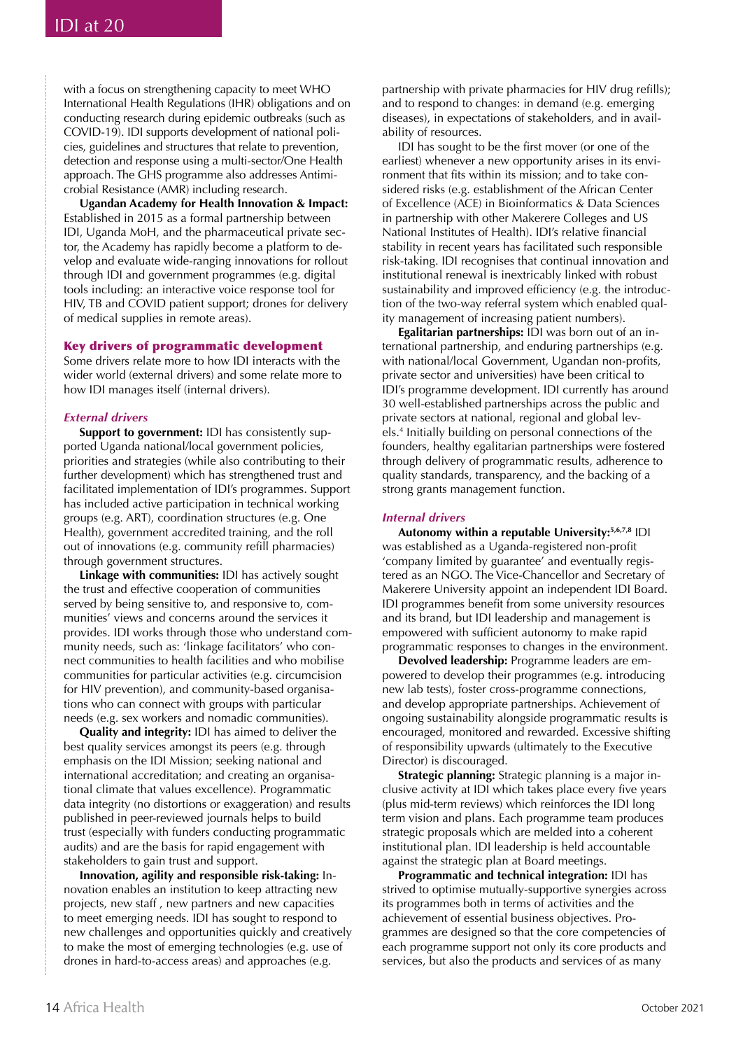with a focus on strengthening capacity to meet WHO International Health Regulations (IHR) obligations and on conducting research during epidemic outbreaks (such as COVID-19). IDI supports development of national policies, guidelines and structures that relate to prevention, detection and response using a multi-sector/One Health approach. The GHS programme also addresses Antimicrobial Resistance (AMR) including research.

**Ugandan Academy for Health Innovation & Impact:**  Established in 2015 as a formal partnership between IDI, Uganda MoH, and the pharmaceutical private sector, the Academy has rapidly become a platform to develop and evaluate wide-ranging innovations for rollout through IDI and government programmes (e.g. digital tools including: an interactive voice response tool for HIV, TB and COVID patient support; drones for delivery of medical supplies in remote areas).

## Key drivers of programmatic development

Some drivers relate more to how IDI interacts with the wider world (external drivers) and some relate more to how IDI manages itself (internal drivers).

#### *External drivers*

**Support to government:** IDI has consistently supported Uganda national/local government policies, priorities and strategies (while also contributing to their further development) which has strengthened trust and facilitated implementation of IDI's programmes. Support has included active participation in technical working groups (e.g. ART), coordination structures (e.g. One Health), government accredited training, and the roll out of innovations (e.g. community refill pharmacies) through government structures.

**Linkage with communities:** IDI has actively sought the trust and effective cooperation of communities served by being sensitive to, and responsive to, communities' views and concerns around the services it provides. IDI works through those who understand community needs, such as: 'linkage facilitators' who connect communities to health facilities and who mobilise communities for particular activities (e.g. circumcision for HIV prevention), and community-based organisations who can connect with groups with particular needs (e.g. sex workers and nomadic communities).

**Quality and integrity:** IDI has aimed to deliver the best quality services amongst its peers (e.g. through emphasis on the IDI Mission; seeking national and international accreditation; and creating an organisational climate that values excellence). Programmatic data integrity (no distortions or exaggeration) and results published in peer-reviewed journals helps to build trust (especially with funders conducting programmatic audits) and are the basis for rapid engagement with stakeholders to gain trust and support.

**Innovation, agility and responsible risk-taking:** Innovation enables an institution to keep attracting new projects, new staff , new partners and new capacities to meet emerging needs. IDI has sought to respond to new challenges and opportunities quickly and creatively to make the most of emerging technologies (e.g. use of drones in hard-to-access areas) and approaches (e.g.

partnership with private pharmacies for HIV drug refills); and to respond to changes: in demand (e.g. emerging diseases), in expectations of stakeholders, and in availability of resources.

IDI has sought to be the first mover (or one of the earliest) whenever a new opportunity arises in its environment that fits within its mission; and to take considered risks (e.g. establishment of the African Center of Excellence (ACE) in Bioinformatics & Data Sciences in partnership with other Makerere Colleges and US National Institutes of Health). IDI's relative financial stability in recent years has facilitated such responsible risk-taking. IDI recognises that continual innovation and institutional renewal is inextricably linked with robust sustainability and improved efficiency (e.g. the introduction of the two-way referral system which enabled quality management of increasing patient numbers).

**Egalitarian partnerships:** IDI was born out of an international partnership, and enduring partnerships (e.g. with national/local Government, Ugandan non-profits, private sector and universities) have been critical to IDI's programme development. IDI currently has around 30 well-established partnerships across the public and private sectors at national, regional and global levels.4 Initially building on personal connections of the founders, healthy egalitarian partnerships were fostered through delivery of programmatic results, adherence to quality standards, transparency, and the backing of a strong grants management function.

#### *Internal drivers*

**Autonomy within a reputable University:5,6,7,8** IDI was established as a Uganda-registered non-profit 'company limited by guarantee' and eventually registered as an NGO. The Vice-Chancellor and Secretary of Makerere University appoint an independent IDI Board. IDI programmes benefit from some university resources and its brand, but IDI leadership and management is empowered with sufficient autonomy to make rapid programmatic responses to changes in the environment.

**Devolved leadership:** Programme leaders are empowered to develop their programmes (e.g. introducing new lab tests), foster cross-programme connections, and develop appropriate partnerships. Achievement of ongoing sustainability alongside programmatic results is encouraged, monitored and rewarded. Excessive shifting of responsibility upwards (ultimately to the Executive Director) is discouraged.

**Strategic planning:** Strategic planning is a major inclusive activity at IDI which takes place every five years (plus mid-term reviews) which reinforces the IDI long term vision and plans. Each programme team produces strategic proposals which are melded into a coherent institutional plan. IDI leadership is held accountable against the strategic plan at Board meetings.

**Programmatic and technical integration:** IDI has strived to optimise mutually-supportive synergies across its programmes both in terms of activities and the achievement of essential business objectives. Programmes are designed so that the core competencies of each programme support not only its core products and services, but also the products and services of as many